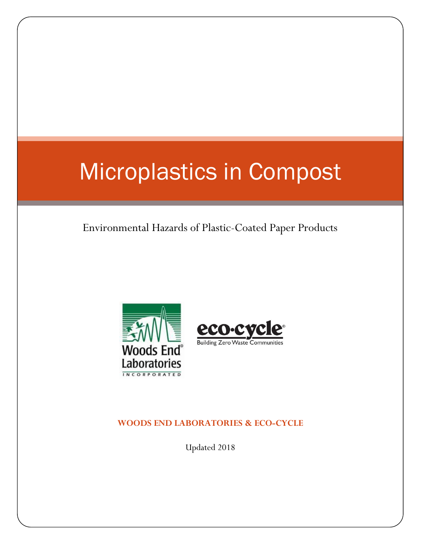# Microplastics in Compost

## Environmental Hazards of Plastic-Coated Paper Products





### **WOODS END LABORATORIES & ECO-CYCLE**

Updated 2018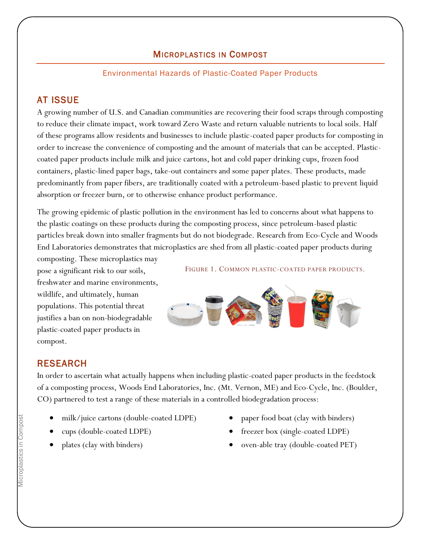## <sup>M</sup>ICROPLASTICS IN COMPOST

#### Environmental Hazards of Plastic-Coated Paper Products

## AT ISSUE

A growing number of U.S. and Canadian communities are recovering their food scraps through composting to reduce their climate impact, work toward Zero Waste and return valuable nutrients to local soils. Half of these programs allow residents and businesses to include plastic-coated paper products for composting in order to increase the convenience of composting and the amount of materials that can be accepted. Plasticcoated paper products include milk and juice cartons, hot and cold paper drinking cups, frozen food containers, plastic-lined paper bags, take-out containers and some paper plates. These products, made predominantly from paper fibers, are traditionally coated with a petroleum-based plastic to prevent liquid absorption or freezer burn, or to otherwise enhance product performance.

The growing epidemic of plastic pollution in the environment has led to concerns about what happens to the plastic coatings on these products during the composting process, since petroleum-based plastic particles break down into smaller fragments but do not biodegrade. Research from Eco-Cycle and Woods End Laboratories demonstrates that microplastics are shed from all plastic-coated paper products during

composting. These microplastics may pose a significant risk to our soils, freshwater and marine environments, wildlife, and ultimately, human populations. This potential threat justifies a ban on non-biodegradable plastic-coated paper products in compost.

FIGURE 1. COMMON PLASTIC-COATED PAPER PRODUCTS.



### RESEARCH

In order to ascertain what actually happens when including plastic-coated paper products in the feedstock of a composting process, Woods End Laboratories, Inc. (Mt. Vernon, ME) and Eco-Cycle, Inc. (Boulder, CO) partnered to test a range of these materials in a controlled biodegradation process:

- milk/juice cartons (double-coated LDPE)
- cups (double-coated LDPE)
- plates (clay with binders)
- paper food boat (clay with binders)
- freezer box (single-coated LDPE)
- oven-able tray (double-coated PET)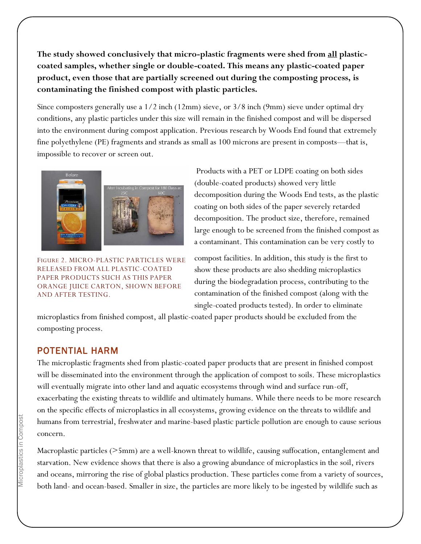**The study showed conclusively that micro-plastic fragments were shed from all plasticcoated samples, whether single or double-coated. This means any plastic-coated paper product, even those that are partially screened out during the composting process, is contaminating the finished compost with plastic particles.**

Since composters generally use a 1/2 inch (12mm) sieve, or 3/8 inch (9mm) sieve under optimal dry conditions, any plastic particles under this size will remain in the finished compost and will be dispersed into the environment during compost application. Previous research by Woods End found that extremely fine polyethylene (PE) fragments and strands as small as 100 microns are present in composts—that is, impossible to recover or screen out.



FIGURE 2. MICRO-PLASTIC PARTICLES WERE RELEASED FROM ALL PLASTIC-COATED PAPER PRODUCTS SUCH AS THIS PAPER ORANGE JUICE CARTON, SHOWN BEFORE AND AFTER TESTING.

Products with a PET or LDPE coating on both sides (double-coated products) showed very little decomposition during the Woods End tests, as the plastic coating on both sides of the paper severely retarded decomposition. The product size, therefore, remained large enough to be screened from the finished compost as a contaminant. This contamination can be very costly to

compost facilities. In addition, this study is the first to show these products are also shedding microplastics during the biodegradation process, contributing to the contamination of the finished compost (along with the single-coated products tested). In order to eliminate

microplastics from finished compost, all plastic-coated paper products should be excluded from the composting process.

#### POTENTIAL HARM

The microplastic fragments shed from plastic-coated paper products that are present in finished compost will be disseminated into the environment through the application of compost to soils. These microplastics will eventually migrate into other land and aquatic ecosystems through wind and surface run-off, exacerbating the existing threats to wildlife and ultimately humans. While there needs to be more research on the specific effects of microplastics in all ecosystems, growing evidence on the threats to wildlife and humans from terrestrial, freshwater and marine-based plastic particle pollution are enough to cause serious concern.

Macroplastic particles (>5mm) are a well-known threat to wildlife, causing suffocation, entanglement and starvation. New evidence shows that there is also a growing abundance of microplastics in the soil, rivers and oceans, mirroring the rise of global plastics production. These particles come from a variety of sources, both land- and ocean-based. Smaller in size, the particles are more likely to be ingested by wildlife such as